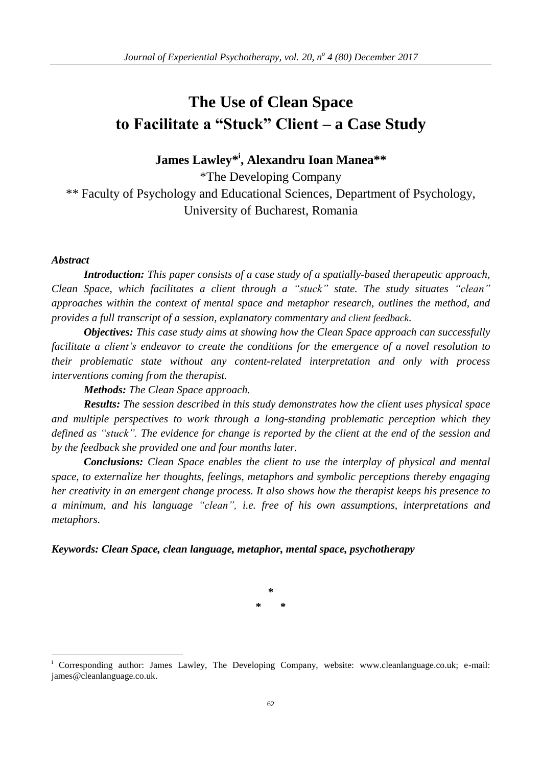# **The Use of Clean Space to Facilitate a "Stuck" Client – a Case Study**

**James Lawley\* i , Alexandru Ioan Manea\*\***

\*The Developing Company \*\* Faculty of Psychology and Educational Sciences, Department of Psychology, University of Bucharest, Romania

## *Abstract*

<u>.</u>

*Introduction: This paper consists of a case study of a spatially-based therapeutic approach, Clean Space, which facilitates a client through a "stuck" state. The study situates "clean" approaches within the context of mental space and metaphor research, outlines the method, and provides a full transcript of a session, explanatory commentary and client feedback.*

*Objectives: This case study aims at showing how the Clean Space approach can successfully facilitate a client's endeavor to create the conditions for the emergence of a novel resolution to their problematic state without any content-related interpretation and only with process interventions coming from the therapist.*

*Methods: The Clean Space approach.*

*Results: The session described in this study demonstrates how the client uses physical space and multiple perspectives to work through a long-standing problematic perception which they* defined as "stuck". The evidence for change is reported by the client at the end of the session and *by the feedback she provided one and four months later.*

*Conclusions: Clean Space enables the client to use the interplay of physical and mental space, to externalize her thoughts, feelings, metaphors and symbolic perceptions thereby engaging her creativity in an emergent change process. It also shows how the therapist keeps his presence to a minimum, and his language "clean", i.e. free of his own assumptions, interpretations and metaphors.*

# *Keywords: Clean Space, clean language, metaphor, mental space, psychotherapy*

**\* \* \***

Corresponding author: James Lawley, The Developing Company, website: www.cleanlanguage.co.uk; e-mail: james@cleanlanguage.co.uk.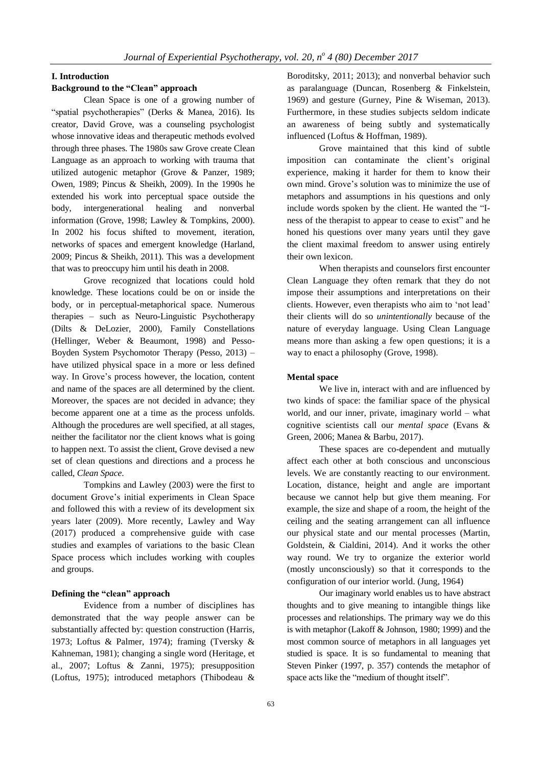#### **I. Introduction**

## **Background to the "Clean" approach**

Clean Space is one of a growing number of "spatial psychotherapies" (Derks & Manea, 2016). Its creator, David Grove, was a counseling psychologist whose innovative ideas and therapeutic methods evolved through three phases. The 1980s saw Grove create Clean Language as an approach to working with trauma that utilized autogenic metaphor (Grove & Panzer, 1989; Owen, 1989; Pincus & Sheikh, 2009). In the 1990s he extended his work into perceptual space outside the body, intergenerational healing and nonverbal information (Grove, 1998; Lawley & Tompkins, 2000). In 2002 his focus shifted to movement, iteration, networks of spaces and emergent knowledge (Harland, 2009; Pincus & Sheikh, 2011). This was a development that was to preoccupy him until his death in 2008.

Grove recognized that locations could hold knowledge. These locations could be on or inside the body, or in perceptual-metaphorical space. Numerous therapies – such as Neuro-Linguistic Psychotherapy (Dilts & DeLozier, 2000), Family Constellations (Hellinger, Weber & Beaumont, 1998) and Pesso-Boyden System Psychomotor Therapy (Pesso, 2013) – have utilized physical space in a more or less defined way. In Grove's process however, the location, content and name of the spaces are all determined by the client. Moreover, the spaces are not decided in advance; they become apparent one at a time as the process unfolds. Although the procedures are well specified, at all stages, neither the facilitator nor the client knows what is going to happen next. To assist the client, Grove devised a new set of clean questions and directions and a process he called, *Clean Space*.

Tompkins and Lawley (2003) were the first to document Grove's initial experiments in Clean Space and followed this with a review of its development six years later (2009). More recently, Lawley and Way (2017) produced a comprehensive guide with case studies and examples of variations to the basic Clean Space process which includes working with couples and groups.

## **Defining the "clean" approach**

Evidence from a number of disciplines has demonstrated that the way people answer can be substantially affected by: question construction (Harris, 1973; Loftus & Palmer, 1974); framing (Tversky & Kahneman, 1981); changing a single word (Heritage, et al., 2007; Loftus & Zanni, 1975); presupposition (Loftus, 1975); introduced metaphors (Thibodeau & Boroditsky, 2011; 2013); and nonverbal behavior such as paralanguage (Duncan, Rosenberg & Finkelstein, 1969) and gesture (Gurney, Pine & Wiseman, 2013). Furthermore, in these studies subjects seldom indicate an awareness of being subtly and systematically influenced (Loftus & Hoffman, 1989).

Grove maintained that this kind of subtle imposition can contaminate the client's original experience, making it harder for them to know their own mind. Grove's solution was to minimize the use of metaphors and assumptions in his questions and only include words spoken by the client. He wanted the "Iness of the therapist to appear to cease to exist" and he honed his questions over many years until they gave the client maximal freedom to answer using entirely their own lexicon.

When therapists and counselors first encounter Clean Language they often remark that they do not impose their assumptions and interpretations on their clients. However, even therapists who aim to 'not lead' their clients will do so *unintentionally* because of the nature of everyday language. Using Clean Language means more than asking a few open questions; it is a way to enact a philosophy (Grove, 1998).

### **Mental space**

We live in, interact with and are influenced by two kinds of space: the familiar space of the physical world, and our inner, private, imaginary world – what cognitive scientists call our *mental space* (Evans & Green, 2006; Manea & Barbu, 2017).

These spaces are co-dependent and mutually affect each other at both conscious and unconscious levels. We are constantly reacting to our environment. Location, distance, height and angle are important because we cannot help but give them meaning. For example, the size and shape of a room, the height of the ceiling and the seating arrangement can all influence our physical state and our mental processes (Martin, Goldstein, & Cialdini, 2014). And it works the other way round. We try to organize the exterior world (mostly unconsciously) so that it corresponds to the configuration of our interior world. (Jung, 1964)

Our imaginary world enables us to have abstract thoughts and to give meaning to intangible things like processes and relationships. The primary way we do this is with metaphor (Lakoff & Johnson, 1980; 1999) and the most common source of metaphors in all languages yet studied is space. It is so fundamental to meaning that Steven Pinker (1997, p. 357) contends the metaphor of space acts like the "medium of thought itself".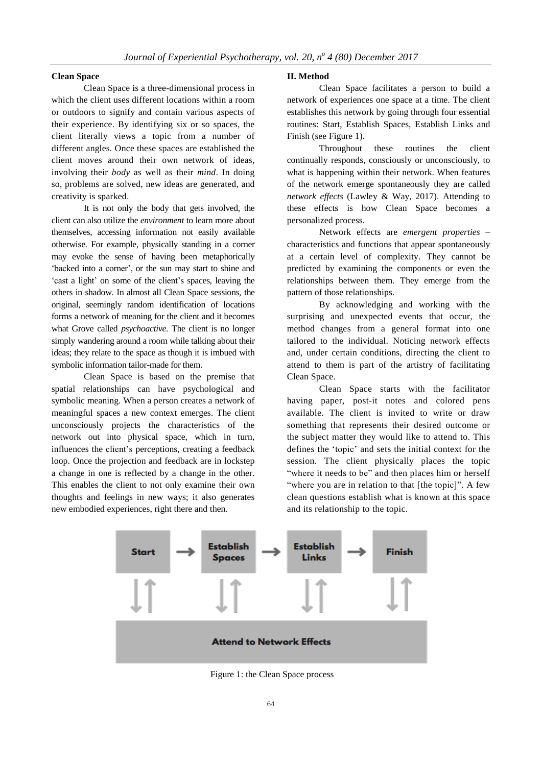#### **Clean Space**

Clean Space is a three-dimensional process in which the client uses different locations within a room or outdoors to signify and contain various aspects of their experience. By identifying six or so spaces, the client literally views a topic from a number of different angles. Once these spaces are established the client moves around their own network of ideas, involving their *body* as well as their *mind*. In doing so, problems are solved, new ideas are generated, and creativity is sparked.

It is not only the body that gets involved, the client can also utilize the *environment* to learn more about themselves, accessing information not easily available otherwise. For example, physically standing in a corner may evoke the sense of having been metaphorically 'backed into a corner', or the sun may start to shine and 'cast a light' on some of the client's spaces, leaving the others in shadow. In almost all Clean Space sessions, the original, seemingly random identification of locations forms a network of meaning for the client and it becomes what Grove called *psychoactive*. The client is no longer simply wandering around a room while talking about their ideas; they relate to the space as though it is imbued with symbolic information tailor-made for them.

Clean Space is based on the premise that spatial relationships can have psychological and symbolic meaning. When a person creates a network of meaningful spaces a new context emerges. The client unconsciously projects the characteristics of the network out into physical space, which in turn, influences the client's perceptions, creating a feedback loop. Once the projection and feedback are in lockstep a change in one is reflected by a change in the other. This enables the client to not only examine their own thoughts and feelings in new ways; it also generates new embodied experiences, right there and then.

#### **II. Method**

Clean Space facilitates a person to build a network of experiences one space at a time. The client establishes this network by going through four essential routines: Start, Establish Spaces, Establish Links and Finish (see Figure 1).

Throughout these routines the client continually responds, consciously or unconsciously, to what is happening within their network. When features of the network emerge spontaneously they are called *network effects* (Lawley & Way, 2017). Attending to these effects is how Clean Space becomes a personalized process.

Network effects are *emergent properties* – characteristics and functions that appear spontaneously at a certain level of complexity. They cannot be predicted by examining the components or even the relationships between them. They emerge from the pattern of those relationships.

By acknowledging and working with the surprising and unexpected events that occur, the method changes from a general format into one tailored to the individual. Noticing network effects and, under certain conditions, directing the client to attend to them is part of the artistry of facilitating Clean Space.

Clean Space starts with the facilitator having paper, post-it notes and colored pens available. The client is invited to write or draw something that represents their desired outcome or the subject matter they would like to attend to. This defines the 'topic' and sets the initial context for the session. The client physically places the topic "where it needs to be" and then places him or herself "where you are in relation to that [the topic]". A few clean questions establish what is known at this space and its relationship to the topic.



Figure 1: the Clean Space process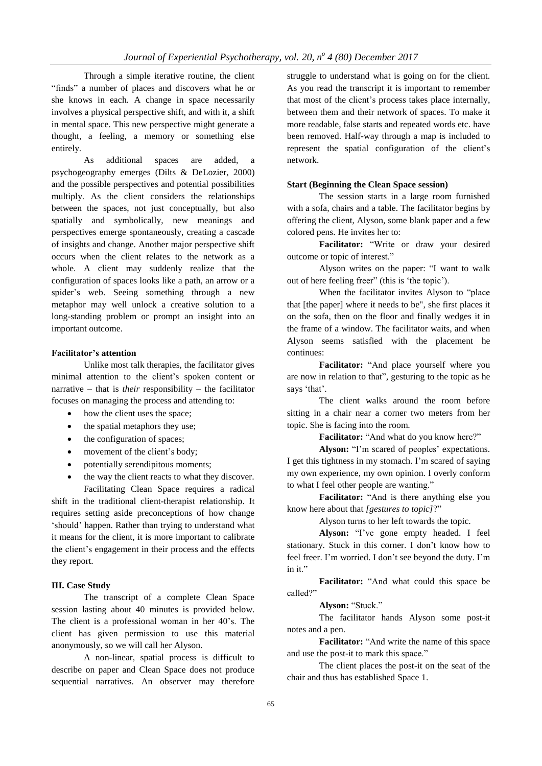Through a simple iterative routine, the client "finds" a number of places and discovers what he or she knows in each. A change in space necessarily involves a physical perspective shift, and with it, a shift in mental space. This new perspective might generate a thought, a feeling, a memory or something else entirely.

As additional spaces are added, a psychogeography emerges (Dilts & DeLozier, 2000) and the possible perspectives and potential possibilities multiply. As the client considers the relationships between the spaces, not just conceptually, but also spatially and symbolically, new meanings and perspectives emerge spontaneously, creating a cascade of insights and change. Another major perspective shift occurs when the client relates to the network as a whole. A client may suddenly realize that the configuration of spaces looks like a path, an arrow or a spider's web. Seeing something through a new metaphor may well unlock a creative solution to a long-standing problem or prompt an insight into an important outcome.

## **Facilitator's attention**

Unlike most talk therapies, the facilitator gives minimal attention to the client's spoken content or narrative – that is *their* responsibility – the facilitator focuses on managing the process and attending to:

- how the client uses the space;
- the spatial metaphors they use;
- the configuration of spaces;
- movement of the client's body;
- potentially serendipitous moments;
- the way the client reacts to what they discover. Facilitating Clean Space requires a radical

shift in the traditional client-therapist relationship. It requires setting aside preconceptions of how change 'should' happen. Rather than trying to understand what it means for the client, it is more important to calibrate the client's engagement in their process and the effects they report.

## **III. Case Study**

The transcript of a complete Clean Space session lasting about 40 minutes is provided below. The client is a professional woman in her 40's. The client has given permission to use this material anonymously, so we will call her Alyson.

A non-linear, spatial process is difficult to describe on paper and Clean Space does not produce sequential narratives. An observer may therefore

struggle to understand what is going on for the client. As you read the transcript it is important to remember that most of the client's process takes place internally, between them and their network of spaces. To make it more readable, false starts and repeated words etc. have been removed. Half-way through a map is included to represent the spatial configuration of the client's network.

## **Start (Beginning the Clean Space session)**

The session starts in a large room furnished with a sofa, chairs and a table. The facilitator begins by offering the client, Alyson, some blank paper and a few colored pens. He invites her to:

**Facilitator:** "Write or draw your desired outcome or topic of interest."

Alyson writes on the paper: "I want to walk out of here feeling freer" (this is 'the topic').

When the facilitator invites Alyson to "place that [the paper] where it needs to be", she first places it on the sofa, then on the floor and finally wedges it in the frame of a window. The facilitator waits, and when Alyson seems satisfied with the placement he continues:

**Facilitator:** "And place yourself where you are now in relation to that"*,* gesturing to the topic as he says 'that'.

The client walks around the room before sitting in a chair near a corner two meters from her topic. She is facing into the room.

**Facilitator:** "And what do you know here?"

**Alyson:** "I'm scared of peoples' expectations. I get this tightness in my stomach. I'm scared of saying my own experience, my own opinion. I overly conform to what I feel other people are wanting."

**Facilitator:** "And is there anything else you know here about that *[gestures to topic]*?"

Alyson turns to her left towards the topic.

**Alyson:** "I've gone empty headed. I feel stationary. Stuck in this corner. I don't know how to feel freer. I'm worried. I don't see beyond the duty. I'm in it."

**Facilitator:** "And what could this space be called?"

**Alyson:** "Stuck."

The facilitator hands Alyson some post-it notes and a pen.

**Facilitator:** "And write the name of this space and use the post-it to mark this space."

The client places the post-it on the seat of the chair and thus has established Space 1.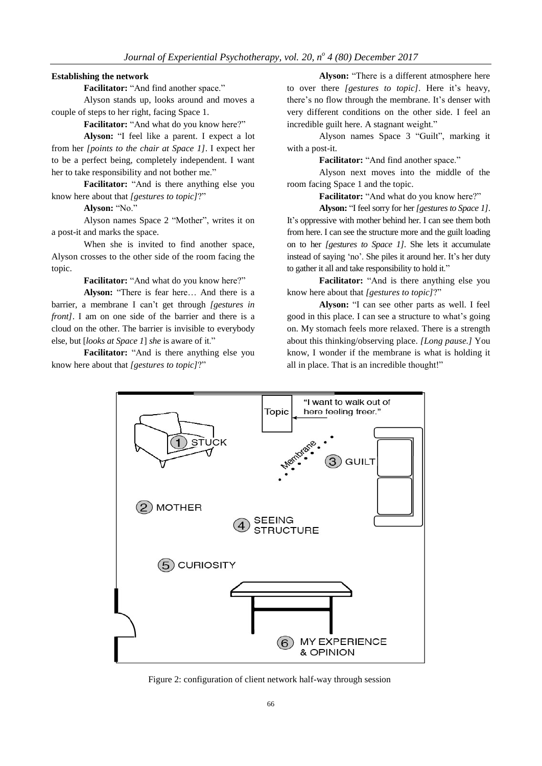## **Establishing the network**

**Facilitator:** "And find another space."

Alyson stands up, looks around and moves a couple of steps to her right, facing Space 1.

**Facilitator:** "And what do you know here?"

**Alyson:** "I feel like a parent. I expect a lot from her *[points to the chair at Space 1]*. I expect her to be a perfect being, completely independent. I want her to take responsibility and not bother me."

**Facilitator:** "And is there anything else you know here about that *[gestures to topic]*?"

**Alyson:** "No."

Alyson names Space 2 "Mother", writes it on a post-it and marks the space.

When she is invited to find another space, Alyson crosses to the other side of the room facing the topic.

**Facilitator:** "And what do you know here?"

**Alyson:** "There is fear here… And there is a barrier, a membrane I can't get through *[gestures in front]*. I am on one side of the barrier and there is a cloud on the other. The barrier is invisible to everybody else, but [*looks at Space 1*] *she* is aware of it."

**Facilitator:** "And is there anything else you know here about that *[gestures to topic]*?"

**Alyson:** "There is a different atmosphere here to over there *[gestures to topic]*. Here it's heavy, there's no flow through the membrane. It's denser with very different conditions on the other side. I feel an incredible guilt here. A stagnant weight."

Alyson names Space 3 "Guilt", marking it with a post-it.

**Facilitator:** "And find another space."

Alyson next moves into the middle of the room facing Space 1 and the topic.

**Facilitator:** "And what do you know here?"

**Alyson:** "I feel sorry for her*[gesturesto Space 1]*. It's oppressive with mother behind her. I can see them both from here. I can see the structure more and the guilt loading on to her *[gestures to Space 1]*. She lets it accumulate instead of saying 'no'. She piles it around her. It's her duty to gather it all and take responsibility to hold it."

**Facilitator:** "And is there anything else you know here about that *[gestures to topic]*?"

**Alyson:** "I can see other parts as well. I feel good in this place. I can see a structure to what's going on. My stomach feels more relaxed. There is a strength about this thinking/observing place. *[Long pause.]* You know, I wonder if the membrane is what is holding it all in place. That is an incredible thought!"



Figure 2: configuration of client network half-way through session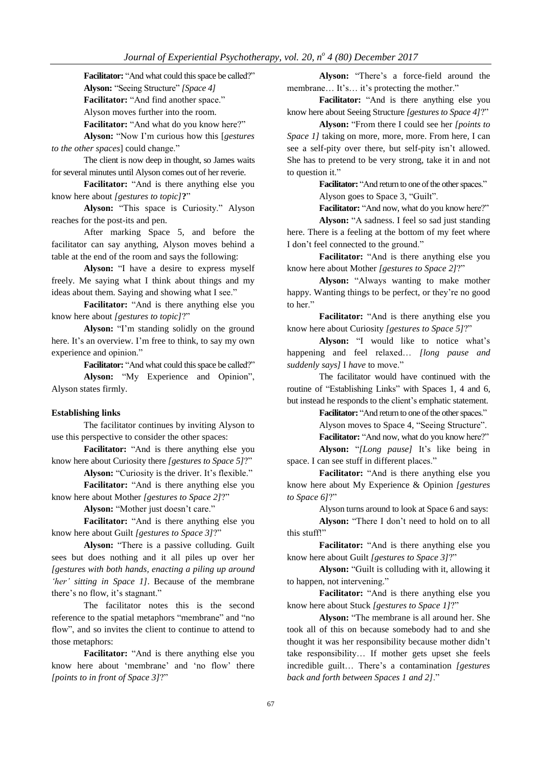Facilitator: "And what could this space be called?" **Alyson:** "Seeing Structure" *[Space 4]* **Facilitator:** "And find another space." Alyson moves further into the room. **Facilitator:** "And what do you know here?"

**Alyson:** "Now I'm curious how this [*gestures to the other spaces*] could change."

The client is now deep in thought, so James waits for several minutes until Alyson comes out of her reverie.

**Facilitator:** "And is there anything else you know here about *[gestures to topic]***?**"

**Alyson:** "This space is Curiosity." Alyson reaches for the post-its and pen.

After marking Space 5, and before the facilitator can say anything, Alyson moves behind a table at the end of the room and says the following:

**Alyson:** "I have a desire to express myself freely. Me saying what I think about things and my ideas about them. Saying and showing what I see."

**Facilitator:** "And is there anything else you know here about *[gestures to topic]*?"

**Alyson:** "I'm standing solidly on the ground here. It's an overview. I'm free to think, to say my own experience and opinion."

**Facilitator:** "And what could this space be called?"

**Alyson:** "My Experience and Opinion", Alyson states firmly.

#### **Establishing links**

The facilitator continues by inviting Alyson to use this perspective to consider the other spaces:

**Facilitator:** "And is there anything else you know here about Curiosity there *[gestures to Space 5]*?"

Alyson: "Curiosity is the driver. It's flexible."

**Facilitator:** "And is there anything else you know here about Mother *[gestures to Space 2]*?"

**Alyson:** "Mother just doesn't care."

**Facilitator:** "And is there anything else you know here about Guilt *[gestures to Space 3]*?"

**Alyson:** "There is a passive colluding. Guilt sees but does nothing and it all piles up over her *[gestures with both hands, enacting a piling up around 'her' sitting in Space 1]*. Because of the membrane there's no flow, it's stagnant."

The facilitator notes this is the second reference to the spatial metaphors "membrane" and "no flow", and so invites the client to continue to attend to those metaphors:

**Facilitator:** "And is there anything else you know here about 'membrane' and 'no flow' there *[points to in front of Space 3]*?"

**Alyson:** "There's a force-field around the membrane… It's… it's protecting the mother."

**Facilitator:** "And is there anything else you know here about Seeing Structure *[gestures to Space 4]*?"

**Alyson:** "From there I could see her *[points to Space 1]* taking on more, more, more. From here, I can see a self-pity over there, but self-pity isn't allowed. She has to pretend to be very strong, take it in and not to question it."

> Facilitator: "And return to one of the other spaces." Alyson goes to Space 3, "Guilt".

> **Facilitator:** "And now, what do you know here?"

**Alyson:** "A sadness. I feel so sad just standing here. There is a feeling at the bottom of my feet where I don't feel connected to the ground."

**Facilitator:** "And is there anything else you know here about Mother *[gestures to Space 2]*?"

**Alyson:** "Always wanting to make mother happy. Wanting things to be perfect, or they're no good to her."

**Facilitator:** "And is there anything else you know here about Curiosity *[gestures to Space 5]*?"

**Alyson:** "I would like to notice what's happening and feel relaxed… *[long pause and suddenly says]* I *have* to move."

The facilitator would have continued with the routine of "Establishing Links" with Spaces 1, 4 and 6, but instead he responds to the client's emphatic statement.

Facilitator: "And return to one of the other spaces."

Alyson moves to Space 4, "Seeing Structure".

**Facilitator:** "And now, what do you know here?" **Alyson:** "*[Long pause]* It's like being in

space. I can see stuff in different places."

**Facilitator:** "And is there anything else you know here about My Experience & Opinion *[gestures to Space 6]*?"

Alyson turns around to look at Space 6 and says:

**Alyson:** "There I don't need to hold on to all this stuff!"

**Facilitator:** "And is there anything else you know here about Guilt *[gestures to Space 3]*?"

**Alyson:** "Guilt is colluding with it, allowing it to happen, not intervening."

**Facilitator:** "And is there anything else you know here about Stuck *[gestures to Space 1]*?"

**Alyson:** "The membrane is all around her. She took all of this on because somebody had to and she thought it was her responsibility because mother didn't take responsibility… If mother gets upset she feels incredible guilt… There's a contamination *[gestures back and forth between Spaces 1 and 2]*."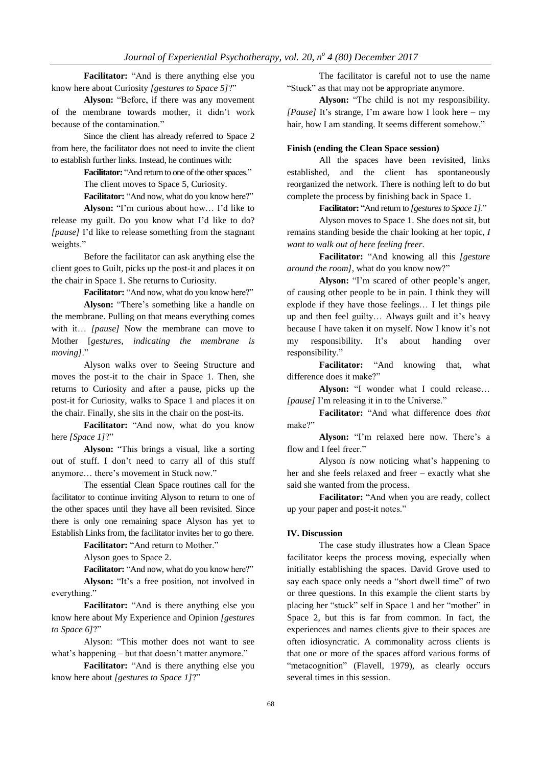**Facilitator:** "And is there anything else you know here about Curiosity *[gestures to Space 5]*?"

**Alyson:** "Before, if there was any movement of the membrane towards mother, it didn't work because of the contamination."

Since the client has already referred to Space 2 from here, the facilitator does not need to invite the client to establish further links. Instead, he continues with:

Facilitator: "And return to one of the other spaces."

The client moves to Space 5, Curiosity.

**Facilitator:** "And now, what do you know here?" **Alyson:** "I'm curious about how… I'd like to

release my guilt. Do you know what I'd like to do? *[pause]* I'd like to release something from the stagnant weights."

Before the facilitator can ask anything else the client goes to Guilt, picks up the post-it and places it on the chair in Space 1. She returns to Curiosity.

**Facilitator:** "And now, what do you know here?"

**Alyson:** "There's something like a handle on the membrane. Pulling on that means everything comes with it… *[pause]* Now the membrane can move to Mother [*gestures, indicating the membrane is moving]*."

Alyson walks over to Seeing Structure and moves the post-it to the chair in Space 1. Then, she returns to Curiosity and after a pause, picks up the post-it for Curiosity, walks to Space 1 and places it on the chair. Finally, she sits in the chair on the post-its.

**Facilitator:** "And now, what do you know here *[Space 1]*?"

**Alyson:** "This brings a visual, like a sorting out of stuff. I don't need to carry all of this stuff anymore… there's movement in Stuck now."

The essential Clean Space routines call for the facilitator to continue inviting Alyson to return to one of the other spaces until they have all been revisited. Since there is only one remaining space Alyson has yet to Establish Links from, the facilitator invites her to go there.

**Facilitator:** "And return to Mother."

Alyson goes to Space 2.

**Facilitator:** "And now, what do you know here?"

**Alyson:** "It's a free position, not involved in everything."

**Facilitator:** "And is there anything else you know here about My Experience and Opinion *[gestures to Space 6]*?"

Alyson: "This mother does not want to see what's happening – but that doesn't matter anymore."

**Facilitator:** "And is there anything else you know here about *[gestures to Space 1]*?"

The facilitator is careful not to use the name "Stuck" as that may not be appropriate anymore.

**Alyson:** "The child is not my responsibility. *[Pause]* It's strange, I'm aware how I look here – my hair, how I am standing. It seems different somehow."

## **Finish (ending the Clean Space session)**

All the spaces have been revisited, links established, and the client has spontaneously reorganized the network. There is nothing left to do but complete the process by finishing back in Space 1.

Facilitator: "And return to [gestures to Space 1]."

Alyson moves to Space 1. She does not sit, but remains standing beside the chair looking at her topic, *I want to walk out of here feeling freer*.

**Facilitator:** "And knowing all this *[gesture around the room],* what do you know now?"

**Alyson:** "I'm scared of other people's anger, of causing other people to be in pain. I think they will explode if they have those feelings… I let things pile up and then feel guilty… Always guilt and it's heavy because I have taken it on myself. Now I know it's not my responsibility. It's about handing over responsibility."

**Facilitator:** "And knowing that, what difference does it make?"

**Alyson:** "I wonder what I could release… *[pause]* I'm releasing it in to the Universe."

**Facilitator:** "And what difference does *that* make?"

**Alyson:** "I'm relaxed here now. There's a flow and I feel freer."

Alyson *is* now noticing what's happening to her and she feels relaxed and freer – exactly what she said she wanted from the process.

**Facilitator:** "And when you are ready, collect up your paper and post-it notes."

## **IV. Discussion**

The case study illustrates how a Clean Space facilitator keeps the process moving, especially when initially establishing the spaces. David Grove used to say each space only needs a "short dwell time" of two or three questions. In this example the client starts by placing her "stuck" self in Space 1 and her "mother" in Space 2, but this is far from common. In fact, the experiences and names clients give to their spaces are often idiosyncratic. A commonality across clients is that one or more of the spaces afford various forms of "metacognition" (Flavell, 1979), as clearly occurs several times in this session.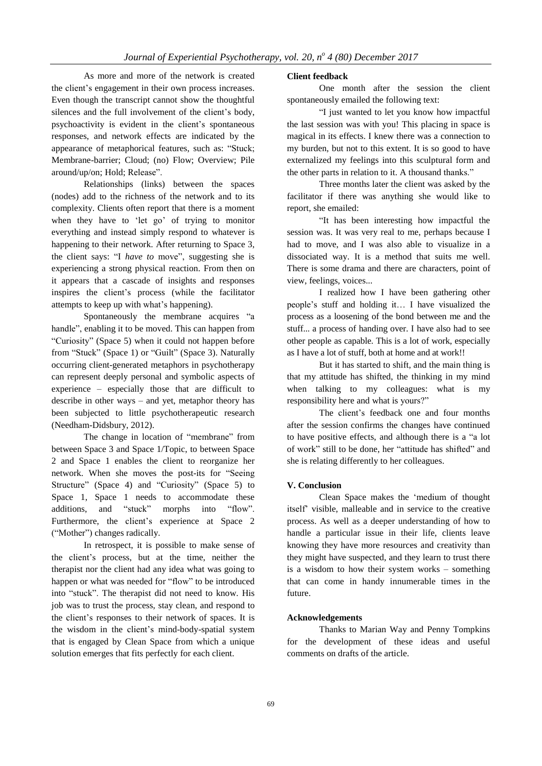As more and more of the network is created the client's engagement in their own process increases. Even though the transcript cannot show the thoughtful silences and the full involvement of the client's body, psychoactivity is evident in the client's spontaneous responses, and network effects are indicated by the appearance of metaphorical features, such as: "Stuck; Membrane-barrier; Cloud; (no) Flow; Overview; Pile around/up/on; Hold; Release".

Relationships (links) between the spaces (nodes) add to the richness of the network and to its complexity. Clients often report that there is a moment when they have to 'let go' of trying to monitor everything and instead simply respond to whatever is happening to their network. After returning to Space 3, the client says: "I *have to* move", suggesting she is experiencing a strong physical reaction. From then on it appears that a cascade of insights and responses inspires the client's process (while the facilitator attempts to keep up with what's happening).

Spontaneously the membrane acquires "a handle", enabling it to be moved. This can happen from "Curiosity" (Space 5) when it could not happen before from "Stuck" (Space 1) or "Guilt" (Space 3). Naturally occurring client-generated metaphors in psychotherapy can represent deeply personal and symbolic aspects of experience – especially those that are difficult to describe in other ways – and yet, metaphor theory has been subjected to little psychotherapeutic research (Needham-Didsbury, 2012).

The change in location of "membrane" from between Space 3 and Space 1/Topic, to between Space 2 and Space 1 enables the client to reorganize her network. When she moves the post-its for "Seeing Structure" (Space 4) and "Curiosity" (Space 5) to Space 1, Space 1 needs to accommodate these additions, and "stuck" morphs into "flow". Furthermore, the client's experience at Space 2 ("Mother") changes radically.

In retrospect, it is possible to make sense of the client's process, but at the time, neither the therapist nor the client had any idea what was going to happen or what was needed for "flow" to be introduced into "stuck". The therapist did not need to know. His job was to trust the process, stay clean, and respond to the client's responses to their network of spaces. It is the wisdom in the client's mind-body-spatial system that is engaged by Clean Space from which a unique solution emerges that fits perfectly for each client.

## **Client feedback**

One month after the session the client spontaneously emailed the following text:

"I just wanted to let you know how impactful the last session was with you! This placing in space is magical in its effects. I knew there was a connection to my burden, but not to this extent. It is so good to have externalized my feelings into this sculptural form and the other parts in relation to it. A thousand thanks."

Three months later the client was asked by the facilitator if there was anything she would like to report, she emailed:

"It has been interesting how impactful the session was. It was very real to me, perhaps because I had to move, and I was also able to visualize in a dissociated way. It is a method that suits me well. There is some drama and there are characters, point of view, feelings, voices...

I realized how I have been gathering other people's stuff and holding it… I have visualized the process as a loosening of the bond between me and the stuff... a process of handing over. I have also had to see other people as capable. This is a lot of work, especially as I have a lot of stuff, both at home and at work!!

But it has started to shift, and the main thing is that my attitude has shifted, the thinking in my mind when talking to my colleagues: what is my responsibility here and what is yours?"

The client's feedback one and four months after the session confirms the changes have continued to have positive effects, and although there is a "a lot of work" still to be done, her "attitude has shifted" and she is relating differently to her colleagues.

## **V. Conclusion**

Clean Space makes the 'medium of thought itself' visible, malleable and in service to the creative process. As well as a deeper understanding of how to handle a particular issue in their life, clients leave knowing they have more resources and creativity than they might have suspected, and they learn to trust there is a wisdom to how their system works – something that can come in handy innumerable times in the future.

#### **Acknowledgements**

Thanks to Marian Way and Penny Tompkins for the development of these ideas and useful comments on drafts of the article.